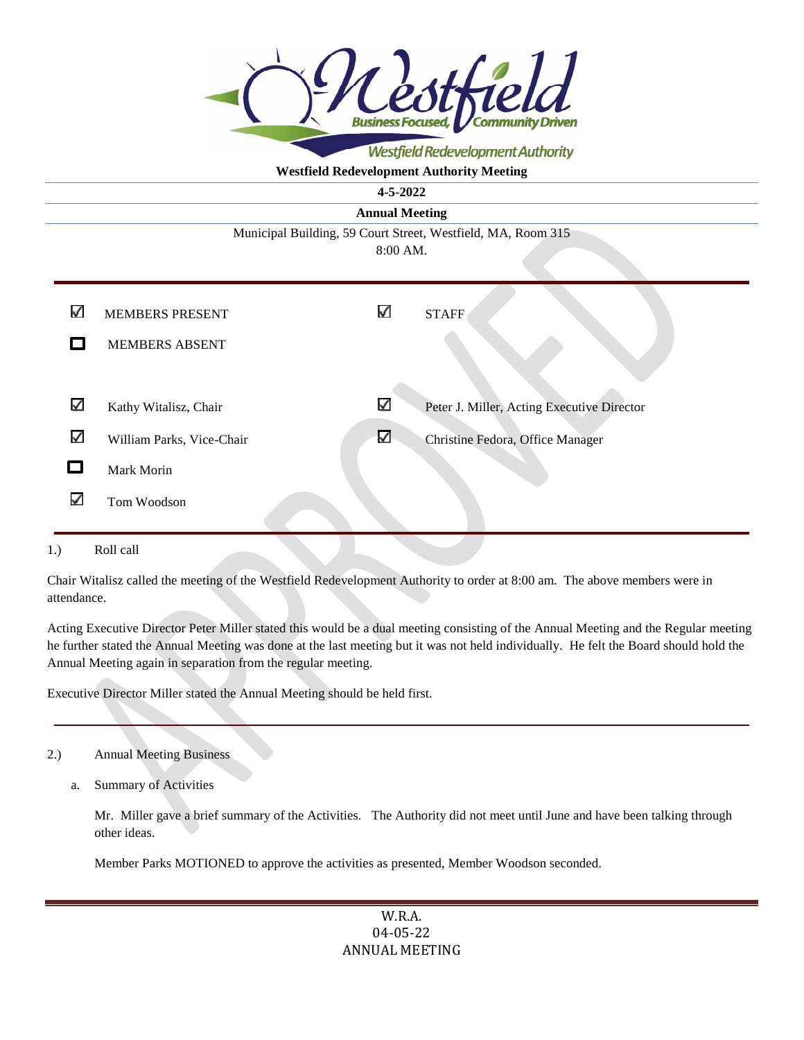

Westfield Redevelopment Authority

# **Westfield Redevelopment Authority Meeting**

**4-5-2022** 

**Annual Meeting** 

Municipal Building, 59 Court Street, Westfield, MA, Room 315 8:00 AM.

| ✓                | <b>MEMBERS PRESENT</b>    | ✓            | <b>STAFF</b>                               |
|------------------|---------------------------|--------------|--------------------------------------------|
|                  | <b>MEMBERS ABSENT</b>     |              |                                            |
|                  |                           |              |                                            |
| ✓                | Kathy Witalisz, Chair     | $\checkmark$ | Peter J. Miller, Acting Executive Director |
| ✓                | William Parks, Vice-Chair | $\checkmark$ | Christine Fedora, Office Manager           |
|                  | Mark Morin                |              |                                            |
| √                | Tom Woodson               |              |                                            |
|                  |                           |              |                                            |
| Roll call<br>1.) |                           |              |                                            |

Chair Witalisz called the meeting of the Westfield Redevelopment Authority to order at 8:00 am. The above members were in attendance.

Acting Executive Director Peter Miller stated this would be a dual meeting consisting of the Annual Meeting and the Regular meeting he further stated the Annual Meeting was done at the last meeting but it was not held individually. He felt the Board should hold the Annual Meeting again in separation from the regular meeting.

Executive Director Miller stated the Annual Meeting should be held first.

- 2.) Annual Meeting Business
	- a. Summary of Activities

Mr. Miller gave a brief summary of the Activities. The Authority did not meet until June and have been talking through other ideas.

Member Parks MOTIONED to approve the activities as presented, Member Woodson seconded.

W.R.A. 04-05-22 ANNUAL MEETING